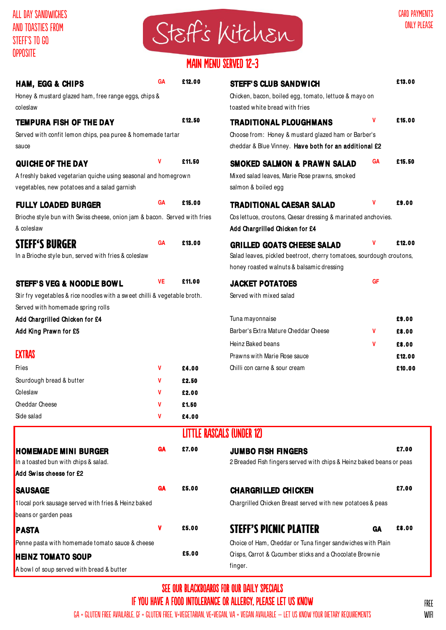

# MAIN MENU SERVED 12-3

| <b>HAM, EGG &amp; CHIPS</b><br>Honey & mustard glazed ham, free range eggs, chips &     | GA        | £12.00                           | <b>STEFF'S CLUB SANDWICH</b><br>Chicken, bacon, boiled egg, tomato, lettuce & mayo on          |    | £13.00 |  |
|-----------------------------------------------------------------------------------------|-----------|----------------------------------|------------------------------------------------------------------------------------------------|----|--------|--|
| coleslaw                                                                                |           |                                  | toasted white bread with fries                                                                 |    |        |  |
| <b>TEMPURA FISH OF THE DAY</b>                                                          |           | £12.50                           | <b>TRADITIONAL PLOUGHMANS</b>                                                                  | v  | £15.00 |  |
| Served with confit lemon chips, pea puree & homemade tartar                             |           |                                  | Choose from: Honey & mustard glazed ham or Barber's                                            |    |        |  |
| sauce                                                                                   |           |                                  | cheddar & Blue Vinney. Have both for an additional £2                                          |    |        |  |
| QUICHE OF THE DAY                                                                       | ٧         | £11.50                           | <b>SMOKED SALMON &amp; PRAWN SALAD</b>                                                         | GА | £15.50 |  |
| A freshly baked vegetarian quiche using seasonal and homegrown                          |           |                                  | Mixed salad leaves, Marie Rose prawns, smoked                                                  |    |        |  |
| vegetables, new potatoes and a salad garnish                                            |           |                                  | salmon & boiled egg                                                                            |    |        |  |
| <b>FULLY LOADED BURGER</b>                                                              | <b>GA</b> | £15.00                           | <b>TRADITIONAL CAESAR SALAD</b>                                                                | v  | £9.00  |  |
| Brioche style bun with Swiss cheese, onion jam & bacon. Served with fries<br>& coleslaw |           |                                  | Coslettuce, croutons, Caesar dressing & marinated anchovies.<br>Add Chargrilled Chicken for £4 |    |        |  |
| <b>STEFF'S BURGER</b>                                                                   | GA        | £13.00                           | <b>GRILLED GOATS CHEESE SALAD</b>                                                              | v  | £12.00 |  |
| In a Brioche style bun, served with fries & coleslaw                                    |           |                                  | Salad leaves, pickled beetroot, cherry tomatoes, sourdough croutons,                           |    |        |  |
|                                                                                         |           |                                  | honey roasted walnuts & balsamic dressing                                                      |    |        |  |
| <b>STEFF'S VEG &amp; NOODLE BOWL</b>                                                    | VE        | £11.00                           | <b>JACKET POTATOES</b>                                                                         | GF |        |  |
| Stir fry vegetables & rice noodles with a sweet chilli & vegetable broth.               |           |                                  | Served with mixed salad                                                                        |    |        |  |
| Served with homemade spring rolls                                                       |           |                                  |                                                                                                |    |        |  |
| Add Chargrilled Chicken for £4                                                          |           |                                  | Tuna mayonnaise                                                                                |    | £9.00  |  |
| Add King Prawn for £5                                                                   |           |                                  | Barber's Extra Mature Cheddar Cheese                                                           | v  | £8.00  |  |
|                                                                                         |           |                                  | Heinz Baked beans                                                                              | v  | £8.00  |  |
| <b>EXTRAS</b>                                                                           |           |                                  | Prawns with Marie Rose sauce                                                                   |    | £12.00 |  |
| Fries                                                                                   | V         | £4.00                            | Chilli con carne & sour cream                                                                  |    | £10.00 |  |
| Sourdough bread & butter                                                                | v         | £2.50                            |                                                                                                |    |        |  |
| Coleslaw                                                                                | v         | £2.00                            |                                                                                                |    |        |  |
| Cheddar Cheese                                                                          | ۷         | £1.50                            |                                                                                                |    |        |  |
| Side salad                                                                              | V         | £4.00                            |                                                                                                |    |        |  |
|                                                                                         |           | <b>LITTLE RASCALS (UNDER 12)</b> |                                                                                                |    |        |  |
| <b>HOMEMADE MINI BURGER</b>                                                             | <b>GA</b> | £7.00                            | <b>JUMBO FISH FINGERS</b>                                                                      |    | £7.00  |  |
| In a toasted bun with chips & salad.                                                    |           |                                  | 2 Breaded Fish fingers served with chips & Heinz baked beans or peas                           |    |        |  |
| Add Swiss cheese for £2                                                                 |           |                                  |                                                                                                |    |        |  |
| <b>SAUSAGE</b>                                                                          | GA        | £5.00                            | <b>CHARGRILLED CHICKEN</b>                                                                     |    | £7.00  |  |
| 1local pork sausage served with fries & Heinz baked                                     |           |                                  | Chargrilled Chicken Breast served with new potatoes & peas                                     |    |        |  |
| beans or garden peas                                                                    |           |                                  |                                                                                                |    |        |  |
| <b>PASTA</b>                                                                            | ۷         | £5.00                            | <b>STEFF'S PICNIC PLATTER</b>                                                                  | GA | £8.00  |  |
| Penne pasta with homemade tomato sauce & cheese                                         |           |                                  | Choice of Ham, Cheddar or Tuna finger sandwiches with Plain                                    |    |        |  |
| <b>HEINZ TOMATO SOUP</b>                                                                |           | £5.00                            | Crisps, Carrot & Qucumber sticks and a Chocolate Brownie                                       |    |        |  |
| A bowl of soup served with bread & butter                                               |           |                                  | finger.                                                                                        |    |        |  |

## SEE OUR BLACKBOARDS FOR OUR DAILY SPECIALS If you have a food intolerance or allergy, please let us know

GA = gluten free available, GF = gluten free, V=vegetarian, VE=vegan, VA = vegan available – let us know your dietary requirements